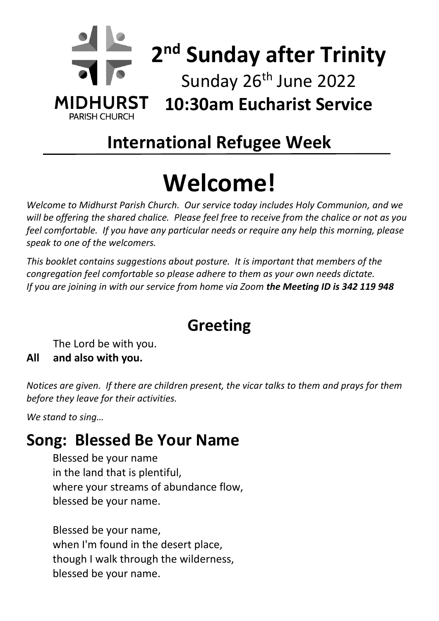# **2 nd Sunday after Trinity** Sunday 26<sup>th</sup> June 2022 **MIDHURST 10:30am Eucharist Service PARISH CHURCH**

# **International Refugee Week**

# **Welcome!**

*Welcome to Midhurst Parish Church. Our service today includes Holy Communion, and we will be offering the shared chalice. Please feel free to receive from the chalice or not as you feel comfortable. If you have any particular needs or require any help this morning, please speak to one of the welcomers.*

*This booklet contains suggestions about posture. It is important that members of the congregation feel comfortable so please adhere to them as your own needs dictate. If you are joining in with our service from home via Zoom the Meeting ID is 342 119 948*

# **Greeting**

The Lord be with you.

#### **All and also with you.**

*Notices are given. If there are children present, the vicar talks to them and prays for them before they leave for their activities.* 

*We stand to sing…*

### **Song: Blessed Be Your Name**

Blessed be your name in the land that is plentiful, where your streams of abundance flow, blessed be your name.

Blessed be your name, when I'm found in the desert place, though I walk through the wilderness, blessed be your name.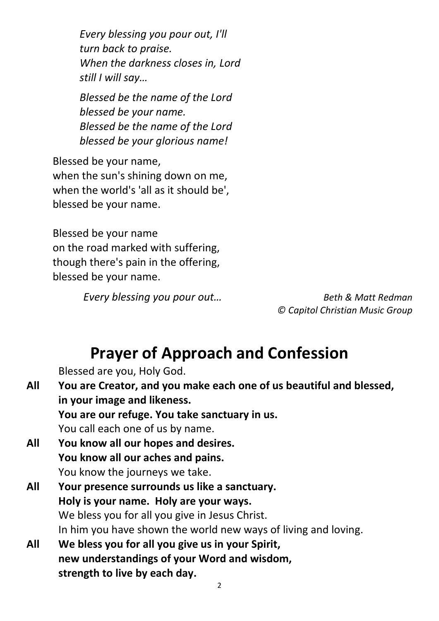*Every blessing you pour out, I'll turn back to praise. When the darkness closes in, Lord still I will say…*

*Blessed be the name of the Lord blessed be your name. Blessed be the name of the Lord blessed be your glorious name!*

Blessed be your name, when the sun's shining down on me, when the world's 'all as it should be', blessed be your name.

Blessed be your name on the road marked with suffering, though there's pain in the offering, blessed be your name.

*Every blessing you pour out… Beth & Matt Redman*

*© Capitol Christian Music Group*

### **Prayer of Approach and Confession**

Blessed are you, Holy God.

- **All You are Creator, and you make each one of us beautiful and blessed, in your image and likeness. You are our refuge. You take sanctuary in us.**  You call each one of us by name.
- **All You know all our hopes and desires. You know all our aches and pains.**  You know the journeys we take.
- **All Your presence surrounds us like a sanctuary. Holy is your name. Holy are your ways.** We bless you for all you give in Jesus Christ. In him you have shown the world new ways of living and loving.
- **All We bless you for all you give us in your Spirit, new understandings of your Word and wisdom, strength to live by each day.**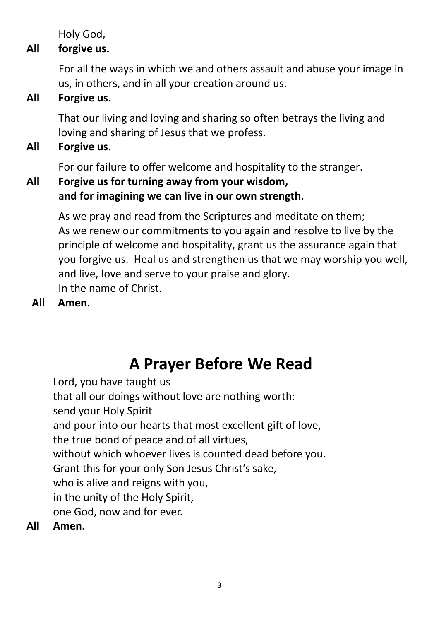Holy God,

#### **All forgive us.**

For all the ways in which we and others assault and abuse your image in us, in others, and in all your creation around us.

#### **All Forgive us.**

That our living and loving and sharing so often betrays the living and loving and sharing of Jesus that we profess.

**All Forgive us.**

For our failure to offer welcome and hospitality to the stranger.

#### **All Forgive us for turning away from your wisdom, and for imagining we can live in our own strength.**

As we pray and read from the Scriptures and meditate on them; As we renew our commitments to you again and resolve to live by the principle of welcome and hospitality, grant us the assurance again that you forgive us. Heal us and strengthen us that we may worship you well, and live, love and serve to your praise and glory. In the name of Christ.

**All Amen.**

# **A Prayer Before We Read**

Lord, you have taught us that all our doings without love are nothing worth: send your Holy Spirit and pour into our hearts that most excellent gift of love, the true bond of peace and of all virtues, without which whoever lives is counted dead before you. Grant this for your only Son Jesus Christ's sake, who is alive and reigns with you, in the unity of the Holy Spirit, one God, now and for ever.

**All Amen.**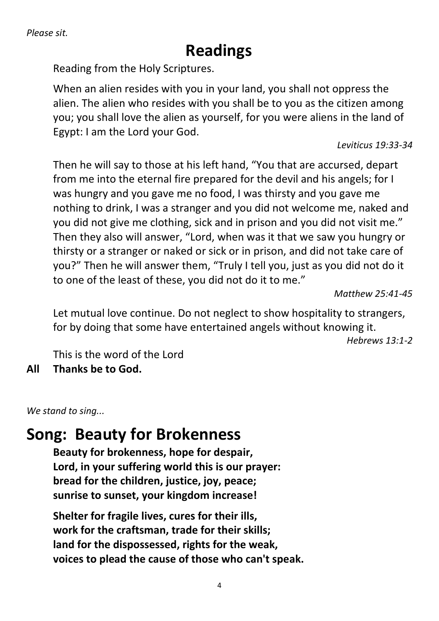*Please sit.*

# **Readings**

Reading from the Holy Scriptures.

When an alien resides with you in your land, you shall not oppress the alien. The alien who resides with you shall be to you as the citizen among you; you shall love the alien as yourself, for you were aliens in the land of Egypt: I am the Lord your God.

*Leviticus 19:33-34*

Then he will say to those at his left hand, "You that are accursed, depart from me into the eternal fire prepared for the devil and his angels; for I was hungry and you gave me no food, I was thirsty and you gave me nothing to drink, I was a stranger and you did not welcome me, naked and you did not give me clothing, sick and in prison and you did not visit me." Then they also will answer, "Lord, when was it that we saw you hungry or thirsty or a stranger or naked or sick or in prison, and did not take care of you?" Then he will answer them, "Truly I tell you, just as you did not do it to one of the least of these, you did not do it to me."

*Matthew 25:41-45*

Let mutual love continue. Do not neglect to show hospitality to strangers, for by doing that some have entertained angels without knowing it.

*Hebrews 13:1-2*

This is the word of the Lord

**All Thanks be to God.**

*We stand to sing...*

### **Song: Beauty for Brokenness**

**Beauty for brokenness, hope for despair, Lord, in your suffering world this is our prayer: bread for the children, justice, joy, peace; sunrise to sunset, your kingdom increase!**

**Shelter for fragile lives, cures for their ills, work for the craftsman, trade for their skills; land for the dispossessed, rights for the weak, voices to plead the cause of those who can't speak.**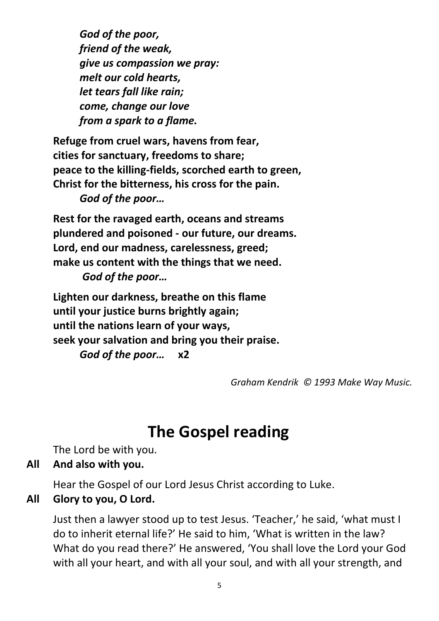*God of the poor, friend of the weak, give us compassion we pray: melt our cold hearts, let tears fall like rain; come, change our love from a spark to a flame.*

**Refuge from cruel wars, havens from fear, cities for sanctuary, freedoms to share; peace to the killing-fields, scorched earth to green, Christ for the bitterness, his cross for the pain.** *God of the poor…*

**Rest for the ravaged earth, oceans and streams plundered and poisoned - our future, our dreams. Lord, end our madness, carelessness, greed; make us content with the things that we need.** *God of the poor…* 

**Lighten our darkness, breathe on this flame until your justice burns brightly again; until the nations learn of your ways, seek your salvation and bring you their praise.** *God of the poor…* **x2**

*Graham Kendrik © 1993 Make Way Music.*

### **The Gospel reading**

The Lord be with you.

#### **All And also with you.**

Hear the Gospel of our Lord Jesus Christ according to Luke.

#### **All Glory to you, O Lord.**

Just then a lawyer stood up to test Jesus. 'Teacher,' he said, 'what must I do to inherit eternal life?' He said to him, 'What is written in the law? What do you read there?' He answered, 'You shall love the Lord your God with all your heart, and with all your soul, and with all your strength, and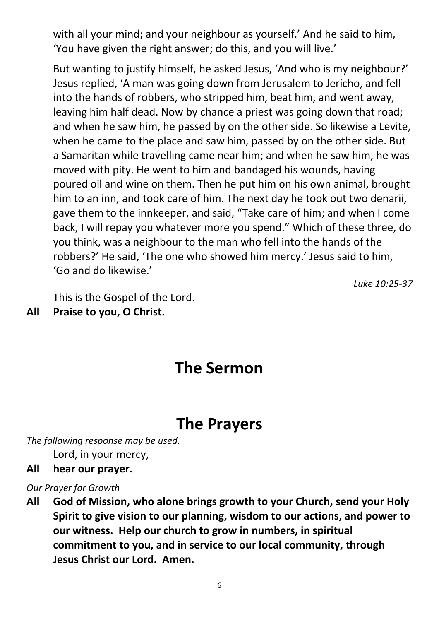with all your mind; and your neighbour as yourself.' And he said to him, 'You have given the right answer; do this, and you will live.'

But wanting to justify himself, he asked Jesus, 'And who is my neighbour?' Jesus replied, 'A man was going down from Jerusalem to Jericho, and fell into the hands of robbers, who stripped him, beat him, and went away, leaving him half dead. Now by chance a priest was going down that road; and when he saw him, he passed by on the other side. So likewise a Levite, when he came to the place and saw him, passed by on the other side. But a Samaritan while travelling came near him; and when he saw him, he was moved with pity. He went to him and bandaged his wounds, having poured oil and wine on them. Then he put him on his own animal, brought him to an inn, and took care of him. The next day he took out two denarii, gave them to the innkeeper, and said, "Take care of him; and when I come back, I will repay you whatever more you spend." Which of these three, do you think, was a neighbour to the man who fell into the hands of the robbers?' He said, 'The one who showed him mercy.' Jesus said to him, 'Go and do likewise.'

*Luke 10:25-37*

This is the Gospel of the Lord.

**All Praise to you, O Christ.**

### **The Sermon**

### **The Prayers**

*The following response may be used.* Lord, in your mercy,

#### **All hear our prayer.**

*Our Prayer for Growth*

**All God of Mission, who alone brings growth to your Church, send your Holy Spirit to give vision to our planning, wisdom to our actions, and power to our witness. Help our church to grow in numbers, in spiritual commitment to you, and in service to our local community, through Jesus Christ our Lord. Amen.**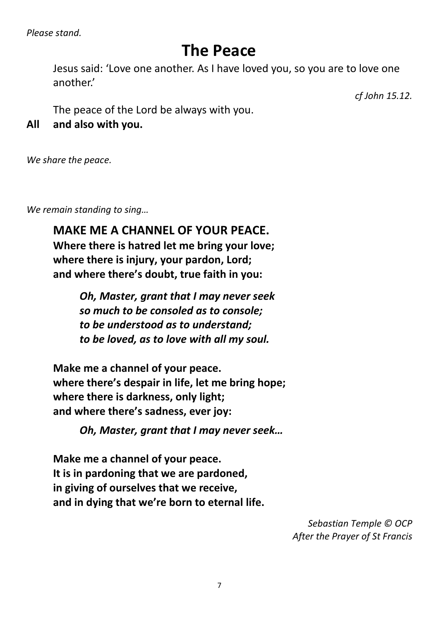*Please stand.*

### **The Peace**

Jesus said: 'Love one another. As I have loved you, so you are to love one another.'

*cf John 15.12.*

The peace of the Lord be always with you.

**All and also with you.**

*We share the peace.*

*We remain standing to sing…*

**MAKE ME A CHANNEL OF YOUR PEACE. Where there is hatred let me bring your love; where there is injury, your pardon, Lord; and where there's doubt, true faith in you:** 

> *Oh, Master, grant that I may never seek so much to be consoled as to console; to be understood as to understand; to be loved, as to love with all my soul.*

**Make me a channel of your peace. where there's despair in life, let me bring hope; where there is darkness, only light; and where there's sadness, ever joy:** 

*Oh, Master, grant that I may never seek…*

**Make me a channel of your peace. It is in pardoning that we are pardoned, in giving of ourselves that we receive, and in dying that we're born to eternal life.** 

> *Sebastian Temple © OCP After the Prayer of St Francis*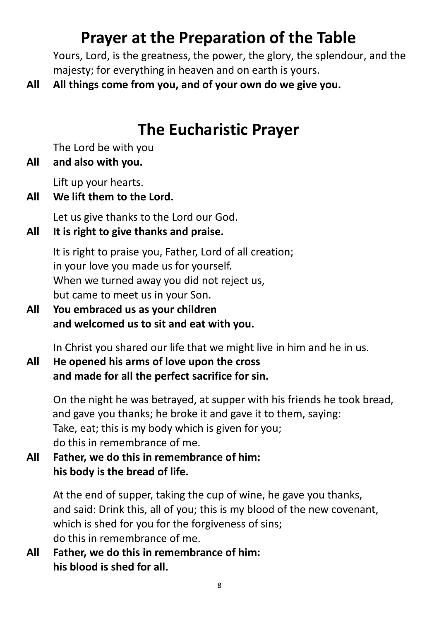## **Prayer at the Preparation of the Table**

Yours, Lord, is the greatness, the power, the glory, the splendour, and the majesty; for everything in heaven and on earth is yours.

**All All things come from you, and of your own do we give you.**

### **The Eucharistic Prayer**

The Lord be with you

**All and also with you.**

Lift up your hearts.

**All We lift them to the Lord.**

Let us give thanks to the Lord our God.

**All It is right to give thanks and praise.**

It is right to praise you, Father, Lord of all creation; in your love you made us for yourself. When we turned away you did not reject us, but came to meet us in your Son.

**All You embraced us as your children and welcomed us to sit and eat with you.**

In Christ you shared our life that we might live in him and he in us.

#### **All He opened his arms of love upon the cross and made for all the perfect sacrifice for sin.**

On the night he was betrayed, at supper with his friends he took bread, and gave you thanks; he broke it and gave it to them, saying: Take, eat; this is my body which is given for you; do this in remembrance of me.

**All Father, we do this in remembrance of him: his body is the bread of life.**

> At the end of supper, taking the cup of wine, he gave you thanks, and said: Drink this, all of you; this is my blood of the new covenant, which is shed for you for the forgiveness of sins; do this in remembrance of me.

**All Father, we do this in remembrance of him: his blood is shed for all.**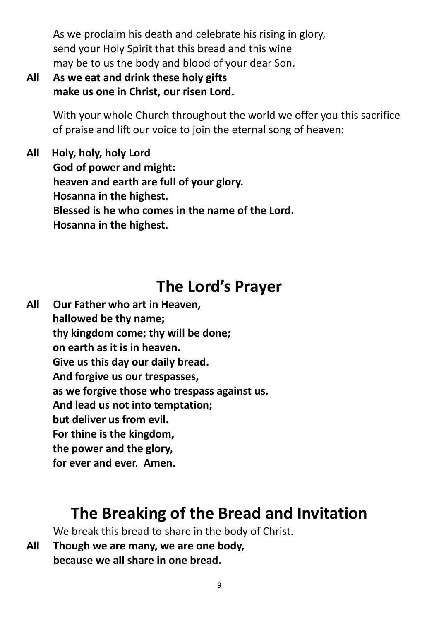As we proclaim his death and celebrate his rising in glory, send your Holy Spirit that this bread and this wine may be to us the body and blood of your dear Son.

**All As we eat and drink these holy gifts make us one in Christ, our risen Lord.**

> With your whole Church throughout the world we offer you this sacrifice of praise and lift our voice to join the eternal song of heaven:

**All Holy, holy, holy Lord God of power and might: heaven and earth are full of your glory. Hosanna in the highest. Blessed is he who comes in the name of the Lord. Hosanna in the highest.**

### **The Lord's Prayer**

**All Our Father who art in Heaven, hallowed be thy name; thy kingdom come; thy will be done; on earth as it is in heaven. Give us this day our daily bread. And forgive us our trespasses, as we forgive those who trespass against us. And lead us not into temptation; but deliver us from evil. For thine is the kingdom, the power and the glory, for ever and ever. Amen.**

### **The Breaking of the Bread and Invitation**

We break this bread to share in the body of Christ.

**All Though we are many, we are one body, because we all share in one bread.**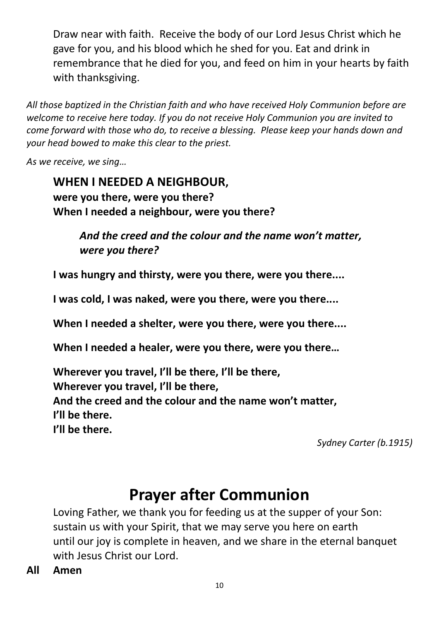Draw near with faith. Receive the body of our Lord Jesus Christ which he gave for you, and his blood which he shed for you. Eat and drink in remembrance that he died for you, and feed on him in your hearts by faith with thanksgiving.

*All those baptized in the Christian faith and who have received Holy Communion before are welcome to receive here today. If you do not receive Holy Communion you are invited to come forward with those who do, to receive a blessing. Please keep your hands down and your head bowed to make this clear to the priest.*

*As we receive, we sing…*

**WHEN I NEEDED A NEIGHBOUR, were you there, were you there? When I needed a neighbour, were you there?** 

> *And the creed and the colour and the name won't matter, were you there?*

**I was hungry and thirsty, were you there, were you there....** 

**I was cold, I was naked, were you there, were you there....** 

**When I needed a shelter, were you there, were you there....** 

**When I needed a healer, were you there, were you there…**

**Wherever you travel, I'll be there, I'll be there, Wherever you travel, I'll be there, And the creed and the colour and the name won't matter, I'll be there. I'll be there.**

*Sydney Carter (b.1915)*

### **Prayer after Communion**

Loving Father, we thank you for feeding us at the supper of your Son: sustain us with your Spirit, that we may serve you here on earth until our joy is complete in heaven, and we share in the eternal banquet with Jesus Christ our Lord.

**All Amen**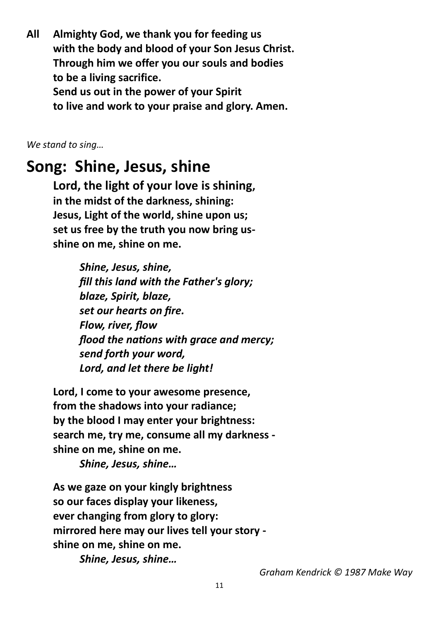**All Almighty God, we thank you for feeding us with the body and blood of your Son Jesus Christ. Through him we offer you our souls and bodies to be a living sacrifice. Send us out in the power of your Spirit to live and work to your praise and glory. Amen.**

*We stand to sing…*

#### **Song: Shine, Jesus, shine**

**Lord, the light of your love is shining, in the midst of the darkness, shining: Jesus, Light of the world, shine upon us; set us free by the truth you now bring usshine on me, shine on me.**

> *Shine, Jesus, shine, fill this land with the Father's glory; blaze, Spirit, blaze, set our hearts on fire. Flow, river, flow flood the nations with grace and mercy; send forth your word, Lord, and let there be light!*

**Lord, I come to your awesome presence, from the shadows into your radiance; by the blood I may enter your brightness: search me, try me, consume all my darkness shine on me, shine on me.** 

*Shine, Jesus, shine…*

**As we gaze on your kingly brightness so our faces display your likeness, ever changing from glory to glory: mirrored here may our lives tell your story shine on me, shine on me.**

*Shine, Jesus, shine…*

*Graham Kendrick © 1987 Make Way*